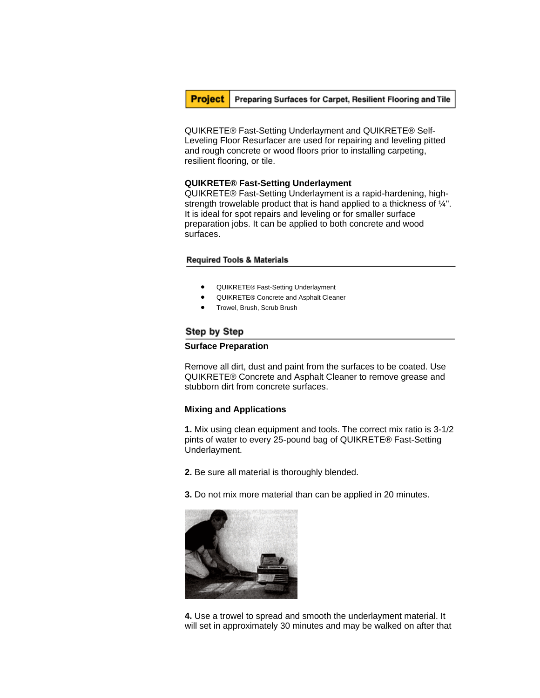**Project** Preparing Surfaces for Carpet, Resilient Flooring and Tile

QUIKRETE® Fast-Setting Underlayment and QUIKRETE® Self-Leveling Floor Resurfacer are used for repairing and leveling pitted and rough concrete or wood floors prior to installing carpeting, resilient flooring, or tile.

## **QUIKRETE® Fast-Setting Underlayment**

QUIKRETE® Fast-Setting Underlayment is a rapid-hardening, highstrength trowelable product that is hand applied to a thickness of ¼". It is ideal for spot repairs and leveling or for smaller surface preparation jobs. It can be applied to both concrete and wood surfaces.

## **Required Tools & Materials**

- QUIKRETE® Fast-Setting Underlayment
- QUIKRETE® Concrete and Asphalt Cleaner
- Trowel, Brush, Scrub Brush

# Step by Step

### **Surface Preparation**

Remove all dirt, dust and paint from the surfaces to be coated. Use QUIKRETE® Concrete and Asphalt Cleaner to remove grease and stubborn dirt from concrete surfaces.

## **Mixing and Applications**

**1.** Mix using clean equipment and tools. The correct mix ratio is 3-1/2 pints of water to every 25-pound bag of QUIKRETE® Fast-Setting Underlayment.

**2.** Be sure all material is thoroughly blended.

**3.** Do not mix more material than can be applied in 20 minutes.



**4.** Use a trowel to spread and smooth the underlayment material. It will set in approximately 30 minutes and may be walked on after that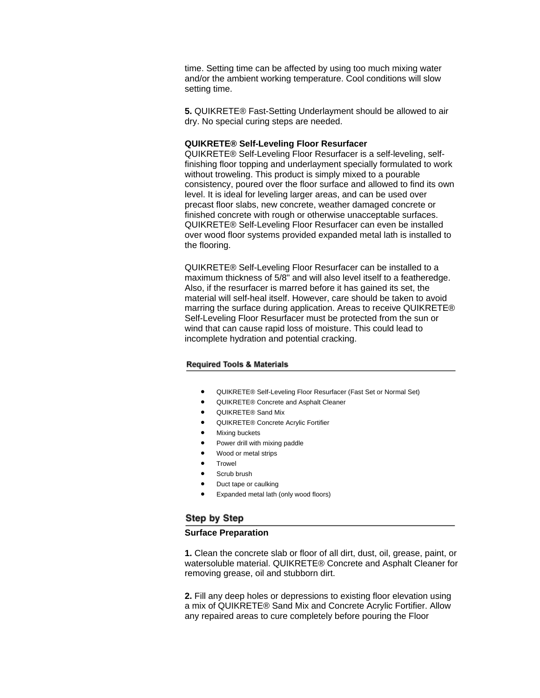time. Setting time can be affected by using too much mixing water and/or the ambient working temperature. Cool conditions will slow setting time.

**5.** QUIKRETE® Fast-Setting Underlayment should be allowed to air dry. No special curing steps are needed.

### **QUIKRETE® Self-Leveling Floor Resurfacer**

QUIKRETE® Self-Leveling Floor Resurfacer is a self-leveling, selffinishing floor topping and underlayment specially formulated to work without troweling. This product is simply mixed to a pourable consistency, poured over the floor surface and allowed to find its own level. It is ideal for leveling larger areas, and can be used over precast floor slabs, new concrete, weather damaged concrete or finished concrete with rough or otherwise unacceptable surfaces. QUIKRETE® Self-Leveling Floor Resurfacer can even be installed over wood floor systems provided expanded metal lath is installed to the flooring.

QUIKRETE® Self-Leveling Floor Resurfacer can be installed to a maximum thickness of 5/8" and will also level itself to a featheredge. Also, if the resurfacer is marred before it has gained its set, the material will self-heal itself. However, care should be taken to avoid marring the surface during application. Areas to receive QUIKRETE® Self-Leveling Floor Resurfacer must be protected from the sun or wind that can cause rapid loss of moisture. This could lead to incomplete hydration and potential cracking.

#### **Required Tools & Materials**

- QUIKRETE® Self-Leveling Floor Resurfacer (Fast Set or Normal Set)
- QUIKRETE® Concrete and Asphalt Cleaner
- QUIKRETE® Sand Mix
- QUIKRETE® Concrete Acrylic Fortifier
- **Mixing buckets**
- Power drill with mixing paddle
- Wood or metal strips
- Trowel
- Scrub brush
- Duct tape or caulking
- Expanded metal lath (only wood floors)

## Step by Step

### **Surface Preparation**

**1.** Clean the concrete slab or floor of all dirt, dust, oil, grease, paint, or watersoluble material. QUIKRETE® Concrete and Asphalt Cleaner for removing grease, oil and stubborn dirt.

**2.** Fill any deep holes or depressions to existing floor elevation using a mix of QUIKRETE® Sand Mix and Concrete Acrylic Fortifier. Allow any repaired areas to cure completely before pouring the Floor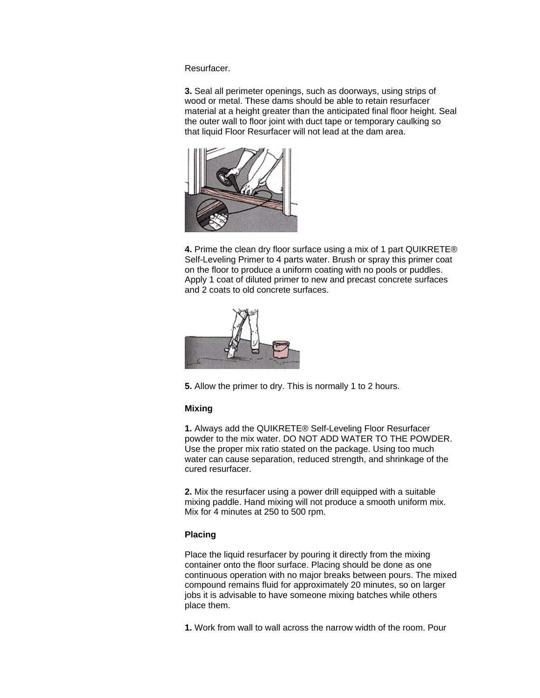Resurfacer.

**3.** Seal all perimeter openings, such as doorways, using strips of wood or metal. These dams should be able to retain resurfacer material at a height greater than the anticipated final floor height. Seal the outer wall to floor joint with duct tape or temporary caulking so that liquid Floor Resurfacer will not lead at the dam area.



**4.** Prime the clean dry floor surface using a mix of 1 part QUIKRETE® Self-Leveling Primer to 4 parts water. Brush or spray this primer coat on the floor to produce a uniform coating with no pools or puddles. Apply 1 coat of diluted primer to new and precast concrete surfaces and 2 coats to old concrete surfaces.



**5.** Allow the primer to dry. This is normally 1 to 2 hours.

## **Mixing**

**1.** Always add the QUIKRETE® Self-Leveling Floor Resurfacer powder to the mix water. DO NOT ADD WATER TO THE POWDER. Use the proper mix ratio stated on the package. Using too much water can cause separation, reduced strength, and shrinkage of the cured resurfacer.

**2.** Mix the resurfacer using a power drill equipped with a suitable mixing paddle. Hand mixing will not produce a smooth uniform mix. Mix for 4 minutes at 250 to 500 rpm.

## **Placing**

Place the liquid resurfacer by pouring it directly from the mixing container onto the floor surface. Placing should be done as one continuous operation with no major breaks between pours. The mixed compound remains fluid for approximately 20 minutes, so on larger jobs it is advisable to have someone mixing batches while others place them.

**1.** Work from wall to wall across the narrow width of the room. Pour